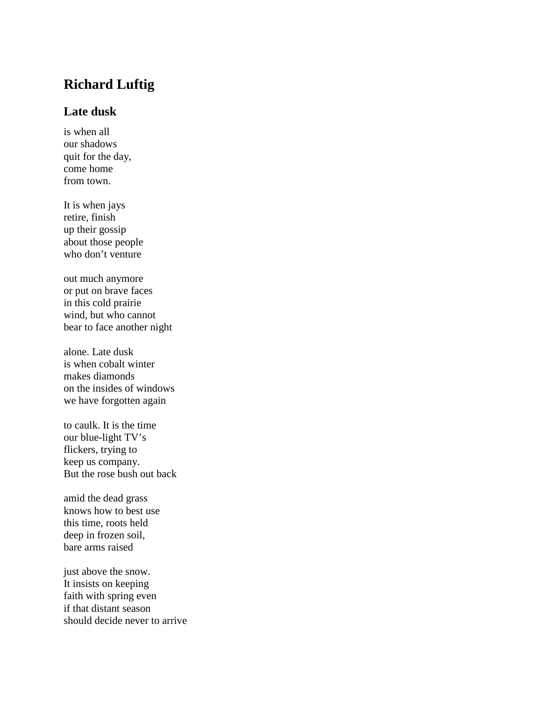## **Richard Luftig**

## **Late dusk**

is when all our shadows quit for the day, come home from town.

It is when jays retire, finish up their gossip about those people who don't venture

out much anymore or put on brave faces in this cold prairie wind, but who cannot bear to face another night

alone. Late dusk is when cobalt winter makes diamonds on the insides of windows we have forgotten again

to caulk. It is the time our blue-light TV's flickers, trying to keep us company. But the rose bush out back

amid the dead grass knows how to best use this time, roots held deep in frozen soil, bare arms raised

just above the snow. It insists on keeping faith with spring even if that distant season should decide never to arrive